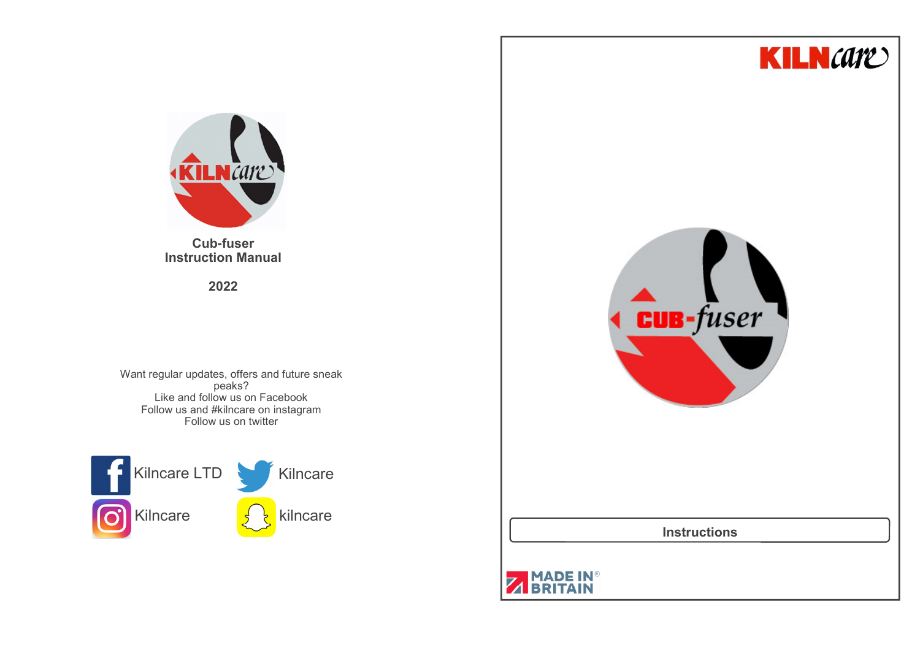



**Cub-fuser Instruction Manual**

**2022**

Want regular updates, offers and future sneak peaks? Like and follow us on Facebook Follow us and #kilncare on instagramFollow us on twitter





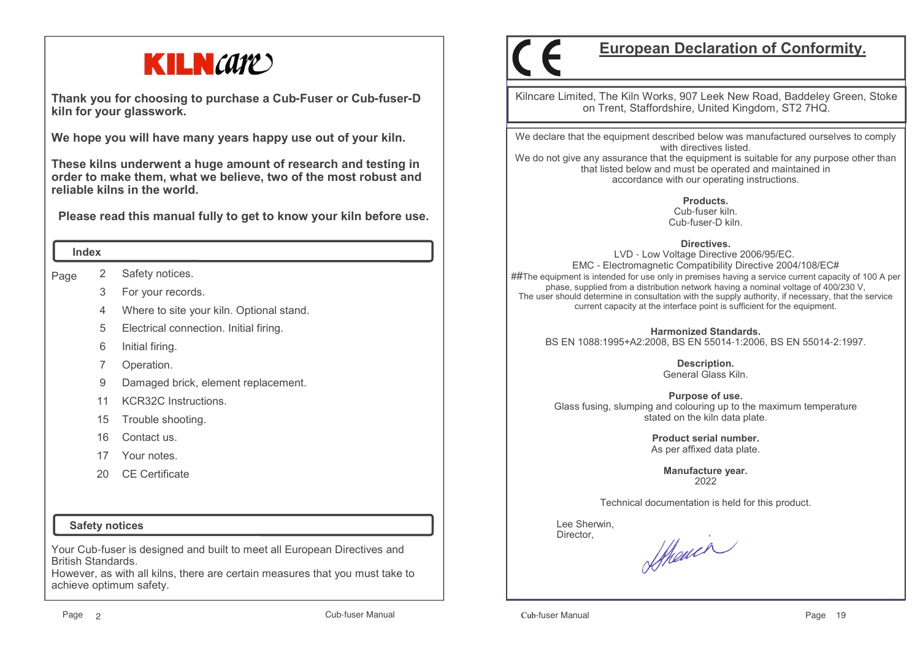

**Thank you for choosing to purchase a Cub-Fuser or Cub-fuser-D kiln for your glasswork.**

**We hope you will have many years happy use out of your kiln.** 

**These kilns underwent a huge amount of research and testing in order to make them, what we believe, two of the most robust and reliable kilns in the world.**

 **Please read this manual fully to get to know your kiln before use.**

#### **Index**

Page 2Safety notices.

- 3For your records.
- 4Where to site your kiln. Optional stand.
- 5Electrical connection. Initial firing.
- 6Initial firing.

7Operation.

- 9Damaged brick, element replacement.
- 11KCR32C Instructions.
- 15Trouble shooting.
- 16Contact us.
- 17Your notes.
- $20<sup>2</sup>$ CE Certificate

## **Safety notices**

Your Cub-fuser is designed and built to meet all European Directives and British Standards.

 However, as with all kilns, there are certain measures that you must take to achieve optimum safety.

# **European Declaration of Conformity.**

Kilncare Limited, The Kiln Works, 907 Leek New Road, Baddeley Green, Stoke on Trent, Staffordshire, United Kingdom, ST2 7HQ.

We declare that the equipment described below was manufactured ourselves to comply with directives listed.

 We do not give any assurance that the equipment is suitable for any purpose other than that listed below and must be operated and maintained in accordance with our operating instructions.

> **Products.** Cub-fuser kiln.Cub-fuser-D kiln.

#### **Directives.**

 LVD - Low Voltage Directive 2006/95/EC. EMC - Electromagnetic Compatibility Directive 2004/108/EC# ##The equipment is intended for use only in premises having a service current capacity of 100 A per phase, supplied from a distribution network having a nominal voltage of 400/230 V, The user should determine in consultation with the supply authority, if necessary, that the service current capacity at the interface point is sufficient for the equipment.

**Harmonized Standards.**

BS EN 1088:1995+A2:2008, BS EN 55014-1:2006, BS EN 55014-2:1997.

**Description.** General Glass Kiln.

**Purpose of use.** Glass fusing, slumping and colouring up to the maximum temperature stated on the kiln data plate.

> **Product serial number.**As per affixed data plate.

> > **Manufacture year.**2022

Technical documentation is held for this product.

 Lee Sherwin,Director,

Sthewer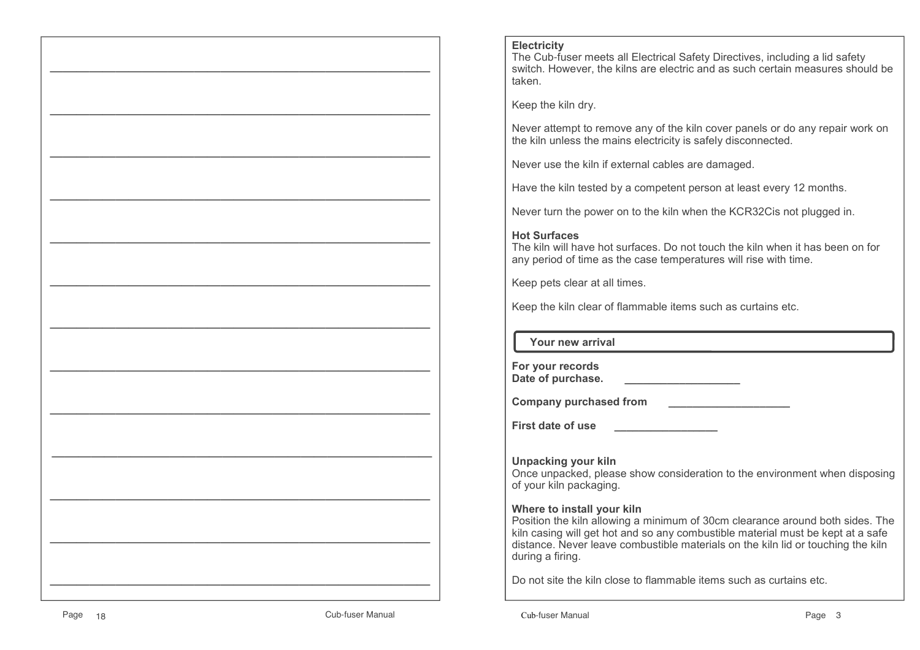#### **Electricity**

 The Cub-fuser meets all Electrical Safety Directives, including a lid safety switch. However, the kilns are electric and as such certain measures should be taken.

Keep the kiln dry.

Never attempt to remove any of the kiln cover panels or do any repair work on the kiln unless the mains electricity is safely disconnected.

Never use the kiln if external cables are damaged.

Have the kiln tested by a competent person at least every 12 months.

Never turn the power on to the kiln when the KCR32Cis not plugged in.

#### **Hot Surfaces**

 The kiln will have hot surfaces. Do not touch the kiln when it has been on for any period of time as the case temperatures will rise with time.

Keep pets clear at all times.

Keep the kiln clear of flammable items such as curtains etc.

 **Your new arrival**

**For your recordsDate of purchase. \_\_\_\_\_\_\_\_\_\_\_\_\_\_\_\_\_\_\_**

**Company purchased from**  $\qquad$ 

**First date of use \_\_\_\_\_\_\_\_\_\_\_\_\_\_\_\_\_**

**Unpacking your kiln** Once unpacked, please show consideration to the environment when disposing of your kiln packaging.

#### **Where to install your kiln**

 Position the kiln allowing a minimum of 30cm clearance around both sides. The kiln casing will get hot and so any combustible material must be kept at a safe distance. Never leave combustible materials on the kiln lid or touching the kiln during a firing.

Do not site the kiln close to flammable items such as curtains etc.

 $\mathcal{L}=\{x\in\mathcal{L}^{\infty}\mid x\in\mathcal{L}^{\infty}\}$ 

 $\mathcal{L}=\{x\in\mathcal{L}^{\infty}\mid x\in\mathcal{L}^{\infty}\}$ 

 $\mathcal{L}=\{x\in\mathcal{L}^{\infty}\mid x\in\mathcal{L}^{\infty}\}$ 

 $\mathcal{L}=\{x\in\mathcal{L}^{\infty}\mid x\in\mathcal{L}^{\infty}\}$ 

 $\mathcal{L}=\{x\in\mathcal{L}^{\infty}\mid x\in\mathcal{L}^{\infty}\}$ 

 $\mathcal{L}=\{x\in\mathcal{L}^{\infty}\mid x\in\mathcal{L}^{\infty}\}$ 

 $\mathcal{L}=\{x\in\mathcal{L}^{\infty}\mid x\in\mathcal{L}^{\infty}\}$ 

 $\mathcal{L}=\{x\in\mathcal{L}^{\infty}\mid x\in\mathcal{L}^{\infty}\}$ 

 $\mathcal{L}=\{x\in\mathcal{L}^{\infty}\mid x\in\mathcal{L}^{\infty}\}$ 

 $\mathcal{L}=\{x_1,\ldots,x_n\}$  , we can assume that  $\mathcal{L}=\{x_1,\ldots,x_n\}$  , we can assume that  $\mathcal{L}=\{x_1,\ldots,x_n\}$ 

 $\mathcal{L}=\{x\in\mathcal{L}^{\infty}\mid x\in\mathcal{L}^{\infty}\}$ 

 $\mathcal{L}=\{x\in\mathcal{L}^{\infty}\mid x\in\mathcal{L}^{\infty}\}$ 

 $\mathcal{L}=\{x\in\mathcal{L}^{\infty}\mid x\in\mathcal{L}^{\infty}\}$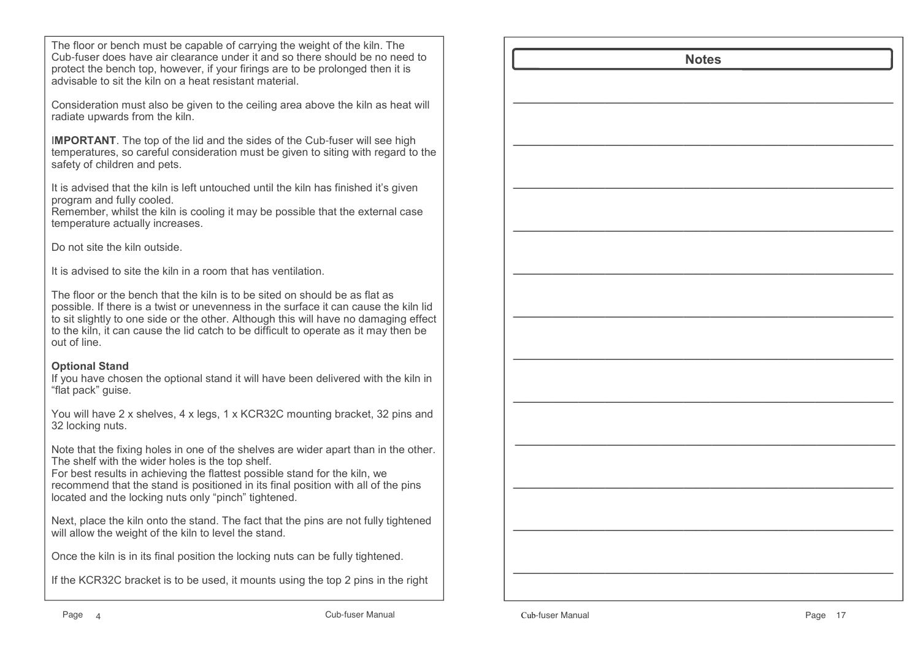The floor or bench must be capable of carrying the weight of the kiln. The Cub-fuser does have air clearance under it and so there should be no need to protect the bench top, however, if your firings are to be prolonged then it is advisable to sit the kiln on a heat resistant material.

Consideration must also be given to the ceiling area above the kiln as heat will radiate upwards from the kiln.

I**MPORTANT**. The top of the lid and the sides of the Cub-fuser will see high temperatures, so careful consideration must be given to siting with regard to the safety of children and pets.

It is advised that the kiln is left untouched until the kiln has finished it's given program and fully cooled.

 Remember, whilst the kiln is cooling it may be possible that the external case temperature actually increases.

Do not site the kiln outside.

It is advised to site the kiln in a room that has ventilation.

The floor or the bench that the kiln is to be sited on should be as flat as possible. If there is a twist or unevenness in the surface it can cause the kiln lid to sit slightly to one side or the other. Although this will have no damaging effect to the kiln, it can cause the lid catch to be difficult to operate as it may then be out of line.

## **Optional Stand**

 If you have chosen the optional stand it will have been delivered with the kiln in "flat pack" guise.

You will have 2 x shelves, 4 x legs, 1 x KCR32C mounting bracket, 32 pins and 32 locking nuts.

Note that the fixing holes in one of the shelves are wider apart than in the other. The shelf with the wider holes is the top shelf.

 For best results in achieving the flattest possible stand for the kiln, we recommend that the stand is positioned in its final position with all of the pins located and the locking nuts only "pinch" tightened.

Next, place the kiln onto the stand. The fact that the pins are not fully tightened will allow the weight of the kiln to level the stand.

Once the kiln is in its final position the locking nuts can be fully tightened.

If the KCR32C bracket is to be used, it mounts using the top 2 pins in the right

| <b>Notes</b> |  |
|--------------|--|
|              |  |
|              |  |
|              |  |
|              |  |
|              |  |
|              |  |
|              |  |
|              |  |
|              |  |
|              |  |
|              |  |
|              |  |
|              |  |
|              |  |
|              |  |
|              |  |
|              |  |
|              |  |
|              |  |
|              |  |
|              |  |
|              |  |
|              |  |
|              |  |
|              |  |
|              |  |
|              |  |
|              |  |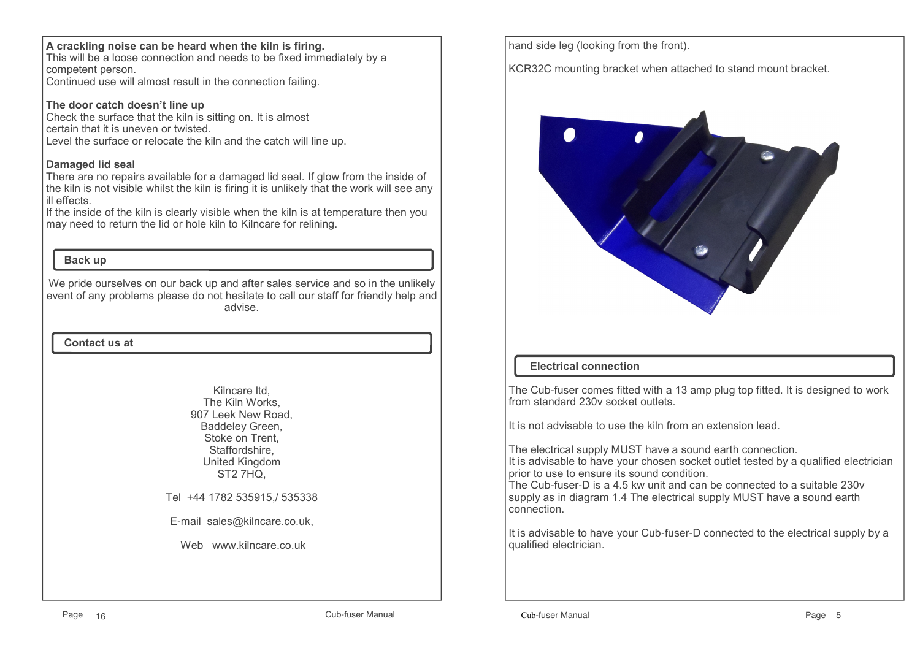#### **A crackling noise can be heard when the kiln is firing.**

 This will be a loose connection and needs to be fixed immediately by a competent person.

Continued use will almost result in the connection failing.

### **The door catch doesn't line up**

 Check the surface that the kiln is sitting on. It is almost certain that it is uneven or twisted.Level the surface or relocate the kiln and the catch will line up.

#### **Damaged lid seal**

 There are no repairs available for a damaged lid seal. If glow from the inside of the kiln is not visible whilst the kiln is firing it is unlikely that the work will see any ill effects.

 If the inside of the kiln is clearly visible when the kiln is at temperature then you may need to return the lid or hole kiln to Kilncare for relining.

## **Back up**

We pride ourselves on our back up and after sales service and so in the unlikely event of any problems please do not hesitate to call our staff for friendly help and advise.

#### **Contact us at**

Kilncare ltd, The Kiln Works, 907 Leek New Road, Baddeley Green, Stoke on Trent, Staffordshire, United KingdomST2 7HQ,

Tel +44 1782 535915,/ 535338

E-mail sales@kilncare.co.uk,

Web www.kilncare.co.uk

hand side leg (looking from the front).

KCR32C mounting bracket when attached to stand mount bracket.



# **Electrical connection**

The Cub-fuser comes fitted with a 13 amp plug top fitted. It is designed to work from standard 230v socket outlets.

It is not advisable to use the kiln from an extension lead.

The electrical supply MUST have a sound earth connection. It is advisable to have your chosen socket outlet tested by a qualified electrician prior to use to ensure its sound condition.

 The Cub-fuser-D is a 4.5 kw unit and can be connected to a suitable 230v supply as in diagram 1.4 The electrical supply MUST have a sound earth connection.

It is advisable to have your Cub-fuser-D connected to the electrical supply by a qualified electrician.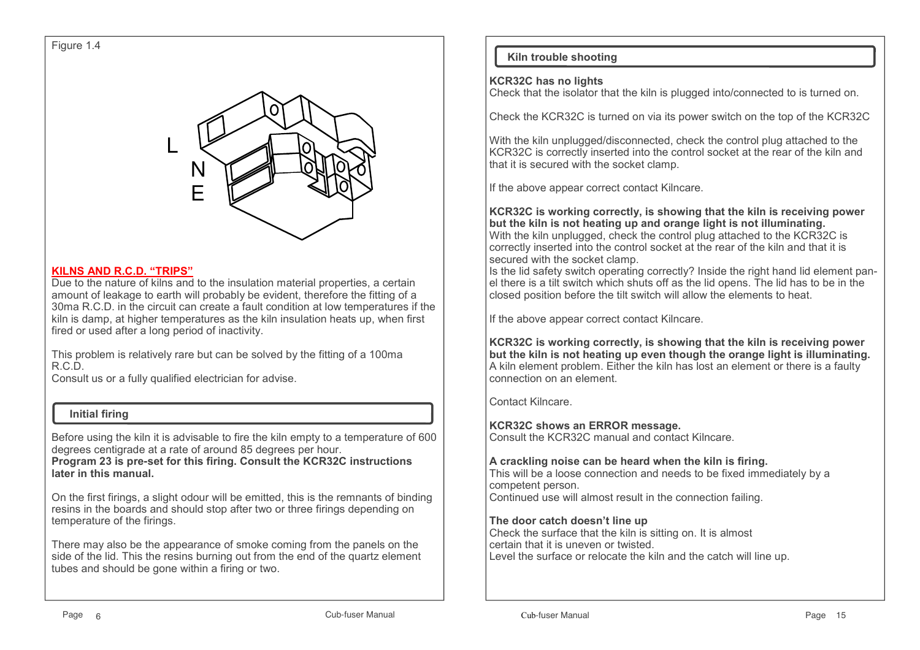

#### **KILNS AND R.C.D. "TRIPS"**

 Due to the nature of kilns and to the insulation material properties, a certain amount of leakage to earth will probably be evident, therefore the fitting of a 30ma R.C.D. in the circuit can create a fault condition at low temperatures if the kiln is damp, at higher temperatures as the kiln insulation heats up, when first fired or used after a long period of inactivity.

This problem is relatively rare but can be solved by the fitting of a 100ma R.C.D.

Consult us or a fully qualified electrician for advise.

#### **Initial firing**

Before using the kiln it is advisable to fire the kiln empty to a temperature of 600 degrees centigrade at a rate of around 85 degrees per hour. **Program 23 is pre-set for this firing. Consult the KCR32C instructions later in this manual.**

On the first firings, a slight odour will be emitted, this is the remnants of binding resins in the boards and should stop after two or three firings depending on temperature of the firings.

There may also be the appearance of smoke coming from the panels on the side of the lid. This the resins burning out from the end of the quartz element tubes and should be gone within a firing or two.

# **Kiln trouble shooting**

#### **KCR32C has no lights**

Check that the isolator that the kiln is plugged into/connected to is turned on.

Check the KCR32C is turned on via its power switch on the top of the KCR32C

With the kiln unplugged/disconnected, check the control plug attached to the KCR32C is correctly inserted into the control socket at the rear of the kiln and that it is secured with the socket clamp.

If the above appear correct contact Kilncare.

**KCR32C is working correctly, is showing that the kiln is receiving power but the kiln is not heating up and orange light is not illuminating.** With the kiln unplugged, check the control plug attached to the KCR32C is correctly inserted into the control socket at the rear of the kiln and that it is secured with the socket clamp.

 Is the lid safety switch operating correctly? Inside the right hand lid element panel there is a tilt switch which shuts off as the lid opens. The lid has to be in the closed position before the tilt switch will allow the elements to heat.

If the above appear correct contact Kilncare.

**KCR32C is working correctly, is showing that the kiln is receiving power but the kiln is not heating up even though the orange light is illuminating.**A kiln element problem. Either the kiln has lost an element or there is a faulty connection on an element.

Contact Kilncare.

**KCR32C shows an ERROR message.**

Consult the KCR32C manual and contact Kilncare.

## **A crackling noise can be heard when the kiln is firing.**

 This will be a loose connection and needs to be fixed immediately by a competent person.Continued use will almost result in the connection failing.

## **The door catch doesn't line up**

 Check the surface that the kiln is sitting on. It is almost certain that it is uneven or twisted.Level the surface or relocate the kiln and the catch will line up.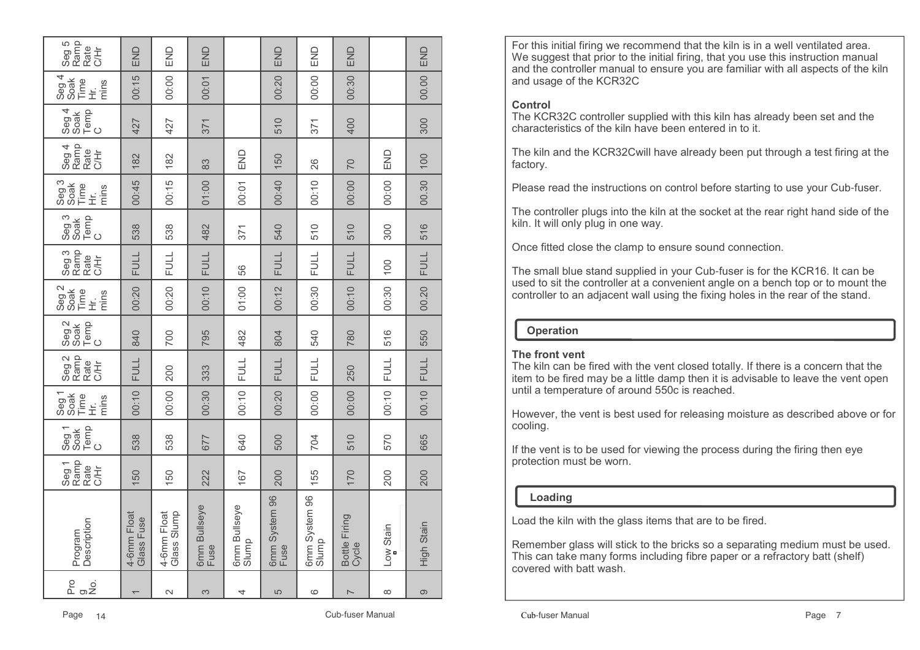| Pro<br>ය.<br>කු   | Description<br>Program     | Ramp<br>Seg 1<br>Rate<br>C/Hr | Temp<br>C<br>Seg 1<br>Soak | Seg 1<br>Soak<br>Time<br>mins<br>$\dot{\tilde{\pm}}$ | Ramp<br>Seg <sub>2</sub><br>Rate<br>C/Hr | Seg 2<br>Soak<br>Temp<br>C | Seg 2<br>Soak<br>Time<br>mins<br>$\dot{\tilde{\pm}}$ | Seg 3<br>Rate<br>C/Hr | Seg 3<br>Soak<br>Temp<br>C | Seg 3<br>Soak<br>Time<br>mins<br>$\dot{\tilde{\pm}}$ | Seg 4<br>Ramp<br>Rate<br>C/Hr | Temp<br>C<br>Seg 4<br>Soak | Seg <sub>4</sub><br>Time<br>Soak<br>mins<br>ビ<br>王 | Seg 5<br>Ramp<br>Rate<br>吉 |
|-------------------|----------------------------|-------------------------------|----------------------------|------------------------------------------------------|------------------------------------------|----------------------------|------------------------------------------------------|-----------------------|----------------------------|------------------------------------------------------|-------------------------------|----------------------------|----------------------------------------------------|----------------------------|
|                   | 4-6mm Float<br>Glass Fuse  | 150                           | 538                        | 00:10                                                | <b>FULL</b>                              | 840                        | 00:20                                                | <b>FULL</b>           | 538                        | 00:45                                                | 182                           | 427                        | 00:15                                              | END                        |
| $\mathbf{\Omega}$ | Glass Slump<br>4-6mm Float | 150                           | 538                        | 00:00                                                | 200                                      | 700                        | 00:20                                                | <b>FULL</b>           | 538                        | 00:15                                                | 182                           | 427                        | 00:00                                              | END                        |
| 3                 | 6mm Bullseye<br>Fuse       | 222                           | 677                        | 00:30                                                | 333                                      | 795                        | 00:10                                                | <b>FULL</b>           | 482                        | 01:00                                                | 83                            | 371                        | 00:01                                              | END                        |
| 4                 | 6mm Bullseye<br>Slump      | 167                           | 640                        | 00:10                                                | <b>FULL</b>                              | 482                        | 01:00                                                | 56                    | 371                        | 00:01                                                | END                           |                            |                                                    |                            |
| 5                 | 6mm System 96<br>Fuse      | 200                           | 500                        | 00:20                                                | <b>FULL</b>                              | 804                        | 00:12                                                | <b>FULL</b>           | 540                        | 00:40                                                | 150                           | 510                        | 00:20                                              | END                        |
| ဖ                 | 6mm System 96<br>Slump     | 155                           | 704                        | 00:00                                                | <b>FULL</b>                              | 540                        | 00:30                                                | <b>FULL</b>           | 510                        | 00:10                                                | 26                            | 371                        | 00:00                                              | END                        |
| $\overline{ }$    | Bottle Firing<br>Cycle     | 170                           | 510                        | 00:00                                                | 250                                      | 780                        | 00:10                                                | <b>FULL</b>           | 510                        | 00:00                                                | 70                            | 400                        | 00:30                                              | END                        |
| $\infty$          | Low Stain                  | 200                           | 570                        | 00:10                                                | <b>FULL</b>                              | 516                        | 00:30                                                | 100                   | 300                        | 00:00                                                | END                           |                            |                                                    |                            |
| တ                 | High Stain                 | 200                           | 665                        | 00.10                                                | <b>FULL</b>                              | 550                        | 00.20                                                | <b>FULL</b>           | 516                        | 00.30                                                | 100                           | 300                        | 00.00                                              | END                        |

For this initial firing we recommend that the kiln is in a well ventilated area. We suggest that prior to the initial firing, that you use this instruction manual and the controller manual to ensure you are familiar with all aspects of the kiln and usage of the KCR32C

### **Control**

 The KCR32C controller supplied with this kiln has already been set and the characteristics of the kiln have been entered in to it.

The kiln and the KCR32Cwill have already been put through a test firing at the factory.

Please read the instructions on control before starting to use your Cub-fuser.

The controller plugs into the kiln at the socket at the rear right hand side of the kiln. It will only plug in one way.

Once fitted close the clamp to ensure sound connection.

The small blue stand supplied in your Cub-fuser is for the KCR16. It can be used to sit the controller at a convenient angle on a bench top or to mount the controller to an adjacent wall using the fixing holes in the rear of the stand.

# **Operation**

## **The front vent**

 The kiln can be fired with the vent closed totally. If there is a concern that the item to be fired may be a little damp then it is advisable to leave the vent open until a temperature of around 550c is reached.

However, the vent is best used for releasing moisture as described above or for cooling.

If the vent is to be used for viewing the process during the firing then eye protection must be worn.

# **Loading**

Load the kiln with the glass items that are to be fired.

Remember glass will stick to the bricks so a separating medium must be used. This can take many forms including fibre paper or a refractory batt (shelf) covered with batt wash.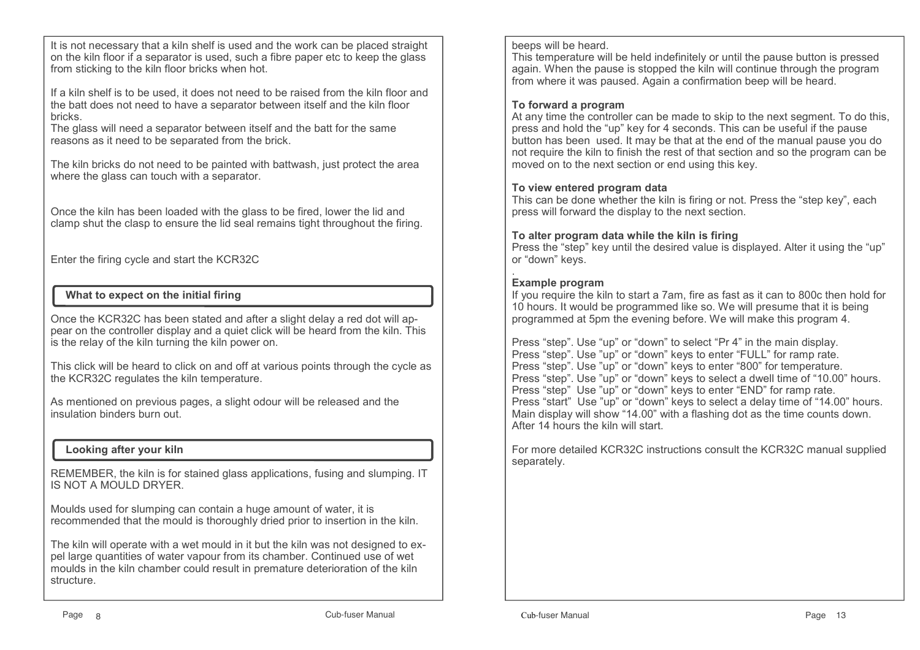It is not necessary that a kiln shelf is used and the work can be placed straight on the kiln floor if a separator is used, such a fibre paper etc to keep the glass from sticking to the kiln floor bricks when hot.

If a kiln shelf is to be used, it does not need to be raised from the kiln floor and the batt does not need to have a separator between itself and the kiln floor bricks.

 The glass will need a separator between itself and the batt for the same reasons as it need to be separated from the brick.

The kiln bricks do not need to be painted with battwash, just protect the area where the glass can touch with a separator.

Once the kiln has been loaded with the glass to be fired, lower the lid and clamp shut the clasp to ensure the lid seal remains tight throughout the firing.

Enter the firing cycle and start the KCR32C

# **What to expect on the initial firing**

Once the KCR32C has been stated and after a slight delay a red dot will appear on the controller display and a quiet click will be heard from the kiln. This is the relay of the kiln turning the kiln power on.

This click will be heard to click on and off at various points through the cycle as the KCR32C regulates the kiln temperature.

As mentioned on previous pages, a slight odour will be released and the insulation binders burn out.

# **Looking after your kiln**

REMEMBER, the kiln is for stained glass applications, fusing and slumping. IT IS NOT A MOULD DRYER.

Moulds used for slumping can contain a huge amount of water, it is recommended that the mould is thoroughly dried prior to insertion in the kiln.

The kiln will operate with a wet mould in it but the kiln was not designed to expel large quantities of water vapour from its chamber. Continued use of wet moulds in the kiln chamber could result in premature deterioration of the kiln structure.

#### beeps will be heard.

 This temperature will be held indefinitely or until the pause button is pressed again. When the pause is stopped the kiln will continue through the program from where it was paused. Again a confirmation beep will be heard.

#### **To forward a program**

 At any time the controller can be made to skip to the next segment. To do this, press and hold the "up" key for 4 seconds. This can be useful if the pause button has been used. It may be that at the end of the manual pause you do not require the kiln to finish the rest of that section and so the program can be moved on to the next section or end using this key.

#### **To view entered program data**

 This can be done whether the kiln is firing or not. Press the "step key", each press will forward the display to the next section.

#### **To alter program data while the kiln is firing**

 Press the "step" key until the desired value is displayed. Alter it using the "up" or "down" keys.

## **Example program**

 If you require the kiln to start a 7am, fire as fast as it can to 800c then hold for 10 hours. It would be programmed like so. We will presume that it is being programmed at 5pm the evening before. We will make this program 4.

Press "step". Use "up" or "down" to select "Pr 4" in the main display. Press "step". Use "up" or "down" keys to enter "FULL" for ramp rate. Press "step". Use "up" or "down" keys to enter "800" for temperature. Press "step". Use "up" or "down" keys to select a dwell time of "10.00" hours. Press "step" Use "up" or "down" keys to enter "END" for ramp rate. Press "start" Use "up" or "down" keys to select a delay time of "14.00" hours.Main display will show "14.00" with a flashing dot as the time counts down. After 14 hours the kiln will start.

For more detailed KCR32C instructions consult the KCR32C manual supplied separately.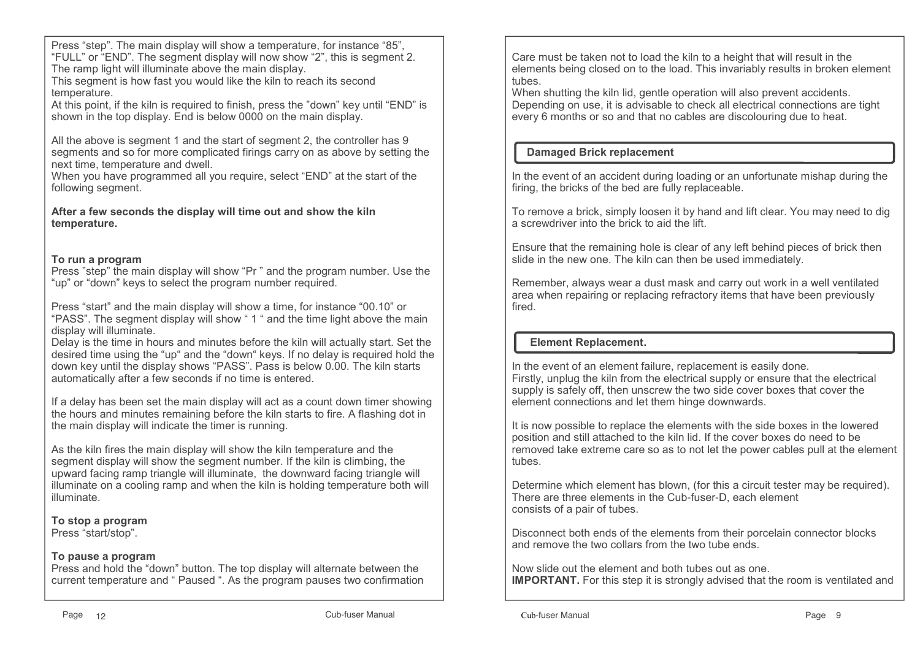Press "step". The main display will show a temperature, for instance "85", "FULL" or "END". The segment display will now show "2", this is segment 2. The ramp light will illuminate above the main display.

 This segment is how fast you would like the kiln to reach its second temperature.

 At this point, if the kiln is required to finish, press the "down" key until "END" is shown in the top display. End is below 0000 on the main display.

All the above is segment 1 and the start of segment 2, the controller has 9 segments and so for more complicated firings carry on as above by setting the next time, temperature and dwell.

 When you have programmed all you require, select "END" at the start of the following segment.

**After a few seconds the display will time out and show the kiln temperature.**

#### **To run a program**

 Press "step" the main display will show "Pr " and the program number. Use the "up" or "down" keys to select the program number required.

Press "start" and the main display will show a time, for instance "00.10" or "PASS". The segment display will show " 1 " and the time light above the main display will illuminate.

 Delay is the time in hours and minutes before the kiln will actually start. Set the desired time using the "up" and the "down" keys. If no delay is required hold the down key until the display shows "PASS". Pass is below 0.00. The kiln starts automatically after a few seconds if no time is entered.

If a delay has been set the main display will act as a count down timer showing the hours and minutes remaining before the kiln starts to fire. A flashing dot in the main display will indicate the timer is running.

As the kiln fires the main display will show the kiln temperature and the segment display will show the segment number. If the kiln is climbing, the upward facing ramp triangle will illuminate, the downward facing triangle will illuminate on a cooling ramp and when the kiln is holding temperature both will illuminate.

**To stop a program**

Press "start/stop".

#### **To pause a program**

 Press and hold the "down" button. The top display will alternate between the current temperature and " Paused ". As the program pauses two confirmation Care must be taken not to load the kiln to a height that will result in the elements being closed on to the load. This invariably results in broken element tubes.

 When shutting the kiln lid, gentle operation will also prevent accidents. Depending on use, it is advisable to check all electrical connections are tight every 6 months or so and that no cables are discolouring due to heat.

## **Damaged Brick replacement**

In the event of an accident during loading or an unfortunate mishap during the firing, the bricks of the bed are fully replaceable.

To remove a brick, simply loosen it by hand and lift clear. You may need to dig a screwdriver into the brick to aid the lift.

Ensure that the remaining hole is clear of any left behind pieces of brick then slide in the new one. The kiln can then be used immediately.

Remember, always wear a dust mask and carry out work in a well ventilated area when repairing or replacing refractory items that have been previously fired.

## **Element Replacement.**

In the event of an element failure, replacement is easily done. Firstly, unplug the kiln from the electrical supply or ensure that the electrical supply is safely off, then unscrew the two side cover boxes that cover the element connections and let them hinge downwards.

It is now possible to replace the elements with the side boxes in the lowered position and still attached to the kiln lid. If the cover boxes do need to be removed take extreme care so as to not let the power cables pull at the element tubes.

Determine which element has blown, (for this a circuit tester may be required). There are three elements in the Cub-fuser-D, each element consists of a pair of tubes.

Disconnect both ends of the elements from their porcelain connector blocks and remove the two collars from the two tube ends.

Now slide out the element and both tubes out as one. **IMPORTANT.** For this step it is strongly advised that the room is ventilated and